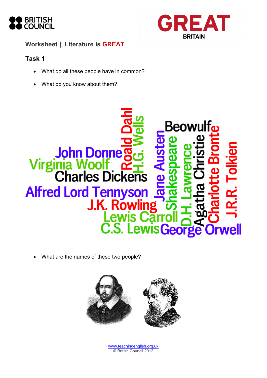



## **Task 1**

- What do all these people have in common?
- What do you know about them?



• What are the names of these two people?



www.teachingenglish.org.uk © British Council 2012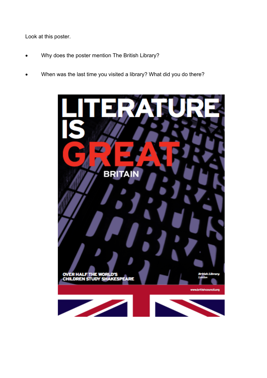Look at this poster.

- Why does the poster mention The British Library?
- When was the last time you visited a library? What did you do there?

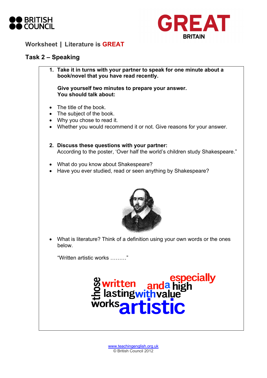



# **Task 2 – Speaking**

**1. Take it in turns with your partner to speak for one minute about a book/novel that you have read recently. Give yourself two minutes to prepare your answer. You should talk about:** • The title of the book. • The subject of the book. • Why you chose to read it. • Whether you would recommend it or not. Give reasons for your answer. **2. Discuss these questions with your partner:** According to the poster, 'Over half the world's children study Shakespeare." • What do you know about Shakespeare? • Have you ever studied, read or seen anything by Shakespeare? • What is literature? Think of a definition using your own words or the ones below. "Written artistic works ………"especially written anda high<br>lastingwithvalue<br><sup>prks</sup>artistic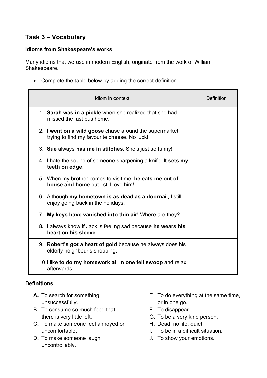# **Task 3 – Vocabulary**

#### **Idioms from Shakespeare's works**

Many idioms that we use in modern English, originate from the work of William Shakespeare.

• Complete the table below by adding the correct definition

| Idiom in context                                                                                       | Definition |
|--------------------------------------------------------------------------------------------------------|------------|
| 1. Sarah was in a pickle when she realized that she had<br>missed the last bus home.                   |            |
| 2. I went on a wild goose chase around the supermarket<br>trying to find my favourite cheese. No luck! |            |
| 3. Sue always has me in stitches. She's just so funny!                                                 |            |
| 4. I hate the sound of someone sharpening a knife. It sets my<br>teeth on edge.                        |            |
| 5. When my brother comes to visit me, he eats me out of<br>house and home but I still love him!        |            |
| 6. Although my hometown is as dead as a doornail, I still<br>enjoy going back in the holidays.         |            |
| 7. My keys have vanished into thin air! Where are they?                                                |            |
| 8. I always know if Jack is feeling sad because he wears his<br>heart on his sleeve.                   |            |
| 9. Robert's got a heart of gold because he always does his<br>elderly neighbour's shopping.            |            |
| 10. I like to do my homework all in one fell swoop and relax<br>afterwards.                            |            |

#### **Definitions**

- **A.** To search for something unsuccessfully.
- B. To consume so much food that there is very little left.
- C. To make someone feel annoyed or uncomfortable.
- D. To make someone laugh uncontrollably.
- E. To do everything at the same time, or in one go.
- F. To disappear.
- G. To be a very kind person.
- H. Dead, no life, quiet.
- I. To be in a difficult situation.
- J. To show your emotions.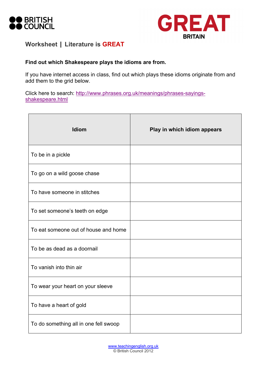



#### **Find out which Shakespeare plays the idioms are from.**

If you have internet access in class, find out which plays these idioms originate from and add them to the grid below.

Click here to search: http://www.phrases.org.uk/meanings/phrases-sayingsshakespeare.html

| Idiom                                 | Play in which idiom appears |
|---------------------------------------|-----------------------------|
| To be in a pickle                     |                             |
| To go on a wild goose chase           |                             |
| To have someone in stitches           |                             |
| To set someone's teeth on edge        |                             |
| To eat someone out of house and home  |                             |
| To be as dead as a doornail           |                             |
| To vanish into thin air               |                             |
| To wear your heart on your sleeve     |                             |
| To have a heart of gold               |                             |
| To do something all in one fell swoop |                             |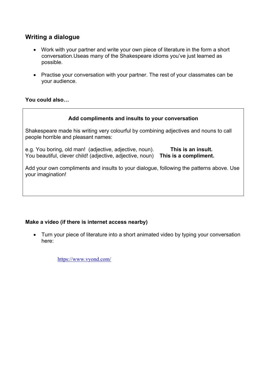# **Writing a dialogue**

- Work with your partner and write your own piece of literature in the form a short conversation.Useas many of the Shakespeare idioms you've just learned as possible.
- Practise your conversation with your partner. The rest of your classmates can be your audience.

### **You could also…**

#### **Add compliments and insults to your conversation**

Shakespeare made his writing very colourful by combining adjectives and nouns to call people horrible and pleasant names:

e.g. You boring, old man! (adjective, adjective, noun). **This is an insult.** You beautiful, clever child! (adjective, adjective, noun) **This is a compliment.**

Add your own compliments and insults to your dialogue, following the patterns above. Use your imagination!

#### **Make a video (if there is internet access nearby)**

• Turn your piece of literature into a short animated video by typing your conversation here:

https://www.vyond.com/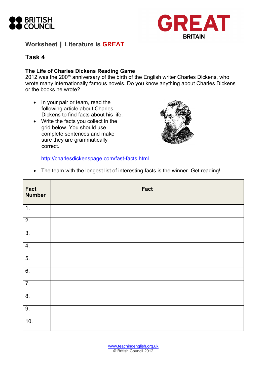



### **Task 4**

#### **The Life of Charles Dickens Reading Game**

2012 was the 200<sup>th</sup> anniversary of the birth of the English writer Charles Dickens, who wrote many internationally famous novels. Do you know anything about Charles Dickens or the books he wrote?

- In your pair or team, read the following article about Charles Dickens to find facts about his life.
- Write the facts you collect in the grid below. You should use complete sentences and make sure they are grammatically correct.



http://charlesdickenspage.com/fast-facts.html

• The team with the longest list of interesting facts is the winner. Get reading!

| Fact<br><b>Number</b> | Fact |
|-----------------------|------|
| $\overline{1}$ .      |      |
| 2.                    |      |
| $\overline{3}$ .      |      |
| 4.                    |      |
| $\overline{5}$ .      |      |
| 6.                    |      |
| $\overline{7}$ .      |      |
| 8.                    |      |
| 9.                    |      |
| 10.                   |      |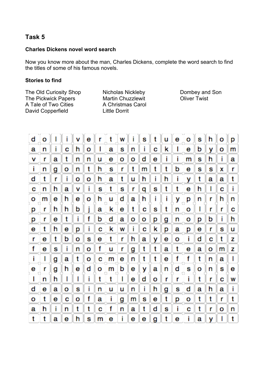## **Task 5**

#### **Charles Dickens novel word search**

Now you know more about the man, Charles Dickens, complete the word search to find the titles of some of his famous novels.

#### **Stories to find**

The Old Curiosity Shop The Pickwick Papers A Tale of Two Cities David Copperfield

Nicholas Nickleby Martin Chuzzlewit A Christmas Carol Little Dorrit

Dombey and Son Oliver Twist

| d  | О |   |   | v | е | r | t | W | i | s                 | t  | u | е | О  | s | h | О | D |
|----|---|---|---|---|---|---|---|---|---|-------------------|----|---|---|----|---|---|---|---|
| а  | n |   | С | h | О | I | a | s | n | i                 | C  | k | ı | е  | b | v | О | m |
| v  | r | a | t | n | n | u | е | O | O | d                 | е  | i | i | m  | s | h | i | а |
| Ĩ. | n | g | О | n | t | h | s | r | t | m                 | t  | t | b | е  | s | s | x | r |
| d  | t | r | i | О | О | h | a | t | u | ∥h                | i  | h | i | v  | t | a | а | t |
| С  | n | h | a | V | i | s | t | s | r | q<br>$\mathbb{I}$ | s  | t | t | е  | h | I | C | ï |
| О  | m | е | h | е | О | h | u | d | а | h                 | i. | i | У | р  | n | r | h | n |
| р  | r | h | h | b | i | а | k | е | t | C                 | S  | t | n | О  | I | r | r | С |
| р  | r | е | t | i | f | b | d | a | О | О                 | р  | g | n | О  | р | b |   | h |
| е  | t | h | е | р | i | С | k | W | i | С                 | k  | р | а | р  | е | r | s | u |
| r  | е | t | b | О | s | е | t | r | h | а                 | У  | е | О | i. | d | С | t | z |
| f  | е | s | i | n | О | f | u | r | g | t                 | t  | а | t | е  | а | О | m | z |
| i  |   | g | а | t | О | С | m | е | n | t                 | t  | е | f | f  | t | n | а |   |
| е  | r | g | h | е | d | О | m | b | е | У                 | а  | n | d | s  | О | n | s | е |
| L  | n | h |   |   | i | t | t | I | е | d                 | О  | r | r | i. | t | r | С | W |
| d  | е | а | О | s | Ĩ | n | u | u | n | i                 | h  | g | s | d  | a | h | а | Ť |
| О  | t | е | С | О | f | а | i | g | m | s                 | е  | t | р | О  | t | t | r | t |
| а  | h | i | n | t | t | С | f | n | a | t                 | d  | s | i | С  | t | r | о | n |
| t  | t | a | е | h | s | m | е | i | е | е                 | g  | t | е | i. | а | v |   | t |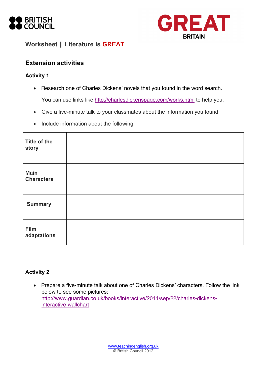



## **Extension activities**

### **Activity 1**

- Research one of Charles Dickens' novels that you found in the word search. You can use links like http://charlesdickenspage.com/works.html to help you.
- Give a five-minute talk to your classmates about the information you found.
- Include information about the following:

| <b>Title of the</b><br>story     |  |
|----------------------------------|--|
| <b>Main</b><br><b>Characters</b> |  |
| <b>Summary</b>                   |  |
| <b>Film</b><br>adaptations       |  |

### **Activity 2**

• Prepare a five-minute talk about one of Charles Dickens' characters. Follow the link below to see some pictures: http://www.guardian.co.uk/books/interactive/2011/sep/22/charles-dickensinteractive-wallchart